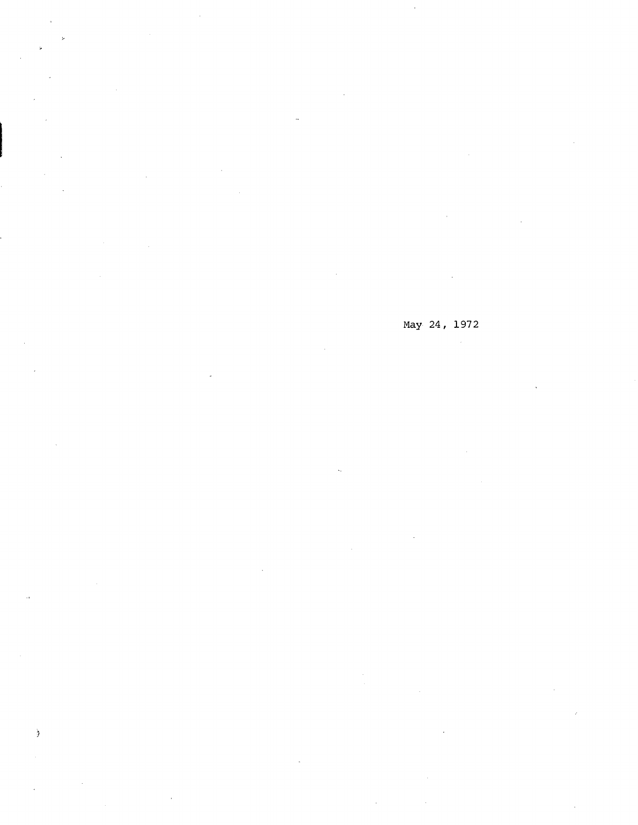May 24, 1972

 $\hat{\boldsymbol{\eta}}$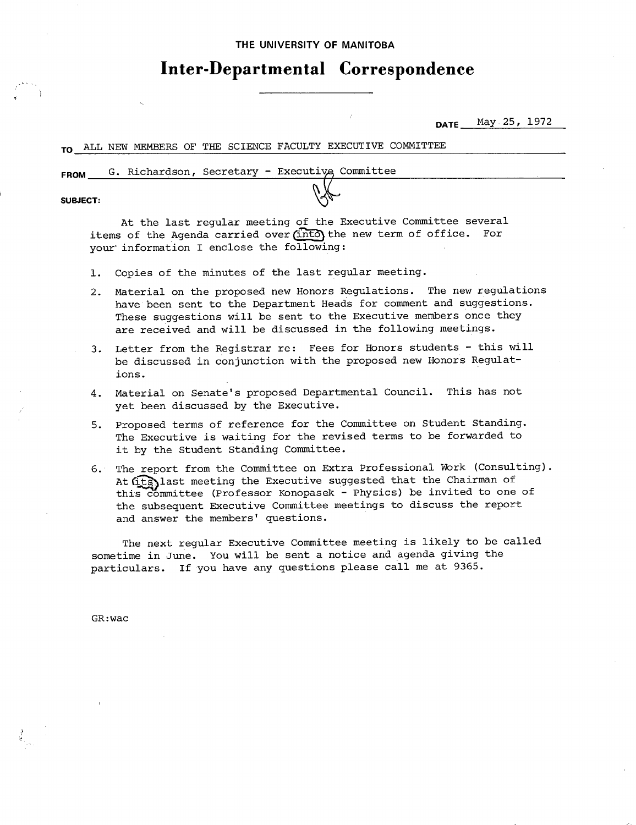### THE UNIVERSITY **OF MANITOBA**

# **Inter-Departmental Correspondence**

**DATE** May 25, 1972

### TO ALL NEW MEMBERS OF THE SCIENCE FACULTY EXECUTIVE COMMITTEE

FROM G. Richardson, Secretary - Executive, Committee

**SUBJECT:** 

At the last regular meeting of the Executive Committee several items of the Agenda carried over (into) the new term of office. For your information I enclose the following:

- Copies of the minutes of the last regular meeting.  $1.$
- Material on the proposed new Honors Regulations. The new regulations have been sent to the Department Heads for comment and suggestions. These suggestions will be sent to the Executive members once they are received and will be discussed in the following meetings.
- Letter from the Registrar re: Fees for Honors students this will be discussed in conjunction with the proposed new Honors Regulations.
- Material on Senate's proposed Departmental Council. This has not 4. yet been discussed by the Executive.
- 5. Proposed terms of reference for the Committee on Student Standing. The Executive is waiting for the revised terms to be forwarded to it by the Student Standing Committee.
- The report from the Committee on Extra Professional Work (Consulting). 6. At (its) last meeting the Executive suggested that the Chairman of this committee (Professor Konopasek - Physics) be invited to one of the subsequent Executive Committee meetings to discuss the report and answer the members' questions.

The next regular Executive Committee meeting is likely to be called sometime in June. You will be sent a notice and agenda giving the particulars. If you have any questions please call me at 9365.

GR:wac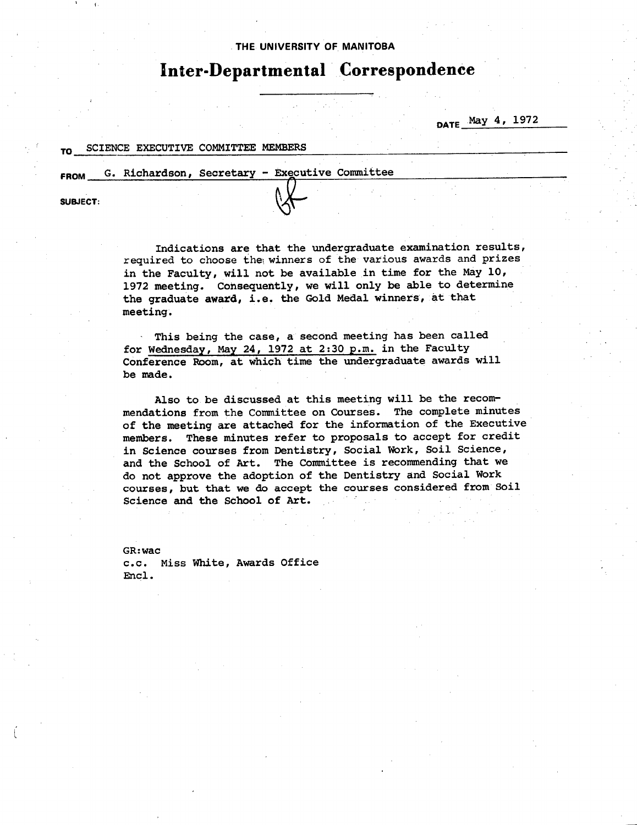### THE UNIVERSITY **OF MANITOBA**

# **Inter-Departmental Correspondence**

DATE May 4, 1972

### SCIENCE EXECUTIVE COMMITTEE MEMBERS

FROM G. Richardson, Secretary - Executive Committee

**SUBJECT:** 

Indications are that the **undergraduate examination results,**  required to choose the winners of the various awards and prizes in the Faculty, will not be available in time for the May  $10$ , 1972 meeting. Consequently, we will only be able to determine the graduate award, i.e. the Gold Medal winners, at that meeting.

This being the case, a second meeting has been called for Wednesday, May 24, 1972 at 2:30 p.m. in the Faculty Conference Room, at which time the undergraduate awards will be made.

Also to be discussed at this meeting will be the recommendations from the Committee on Courses. The complete minutes of the meeting are attached for the information of the Executive members. These minutes refer to proposals to accept for credit in Science courses from Dentistry, Social Work, Soil Science, and the School of Art. The Committee is recommending that we do not approve the adoption of the Dentistry and Social Work courses, but that we do accept the courses considered from Soil Science and the School of Art.

GR:wac c.c. Miss White, Awards Office Encl.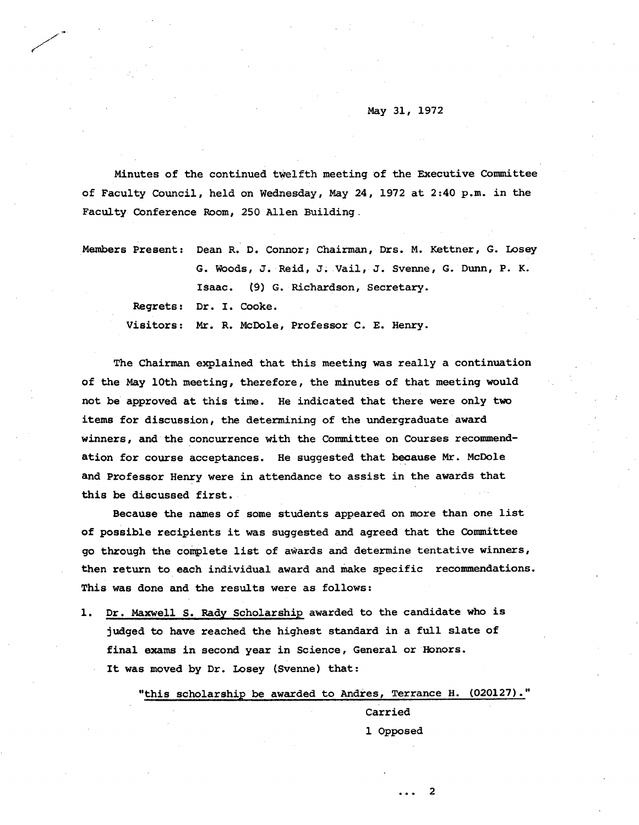#### May 31, 1972

Minutes of the continued twelfth meeting of the Executive Committee of Faculty Council, held on Wednesday, May 24, 1972 at 2:40 p.m. in the Faculty Conference Room, 250 Allen Building.

| Members Present: Dean R. D. Connor; Chairman, Drs. M. Kettner, G. Losey |
|-------------------------------------------------------------------------|
| G. Woods, J. Reid, J. Vail, J. Svenne, G. Dunn, P. K.                   |
| Isaac. (9) G. Richardson, Secretary.                                    |
| Regrets: Dr. I. Cooke.                                                  |
| Visitors: Mr. R. McDole, Professor C. E. Henry.                         |

The Chairman explained that this meeting was really a continuation of the May 10th meeting, therefore, the minutes of that meeting would not be approved at this time. He indicated that there were only two items for discussion, the determining of the undergraduate award winners, and the concurrence with the Committee on Courses recommendation for course acceptances. He suggested that *because* Mr. McDole and Professor Henry were in attendance to assist in the awards that this be discussed first.

Because the names of some students appeared on more than one list of possible recipients it was suggested and agreed that the Committee go through the complete list of awards and determine tentative winners, then return to each individual award and make specific recommendations. This was done and the results were as follows:

1. Dr. Maxwell S. Rady Scholarship awarded to the candidate who is judged to have reached the highest standard in a full slate of final exams in second year in Science, General or Honors. It was moved by Dr. Losey (Svenne) that:

"this scholarship be awarded to Andres, Terrance H. (020127)."

Carried 1 Opposed

... 2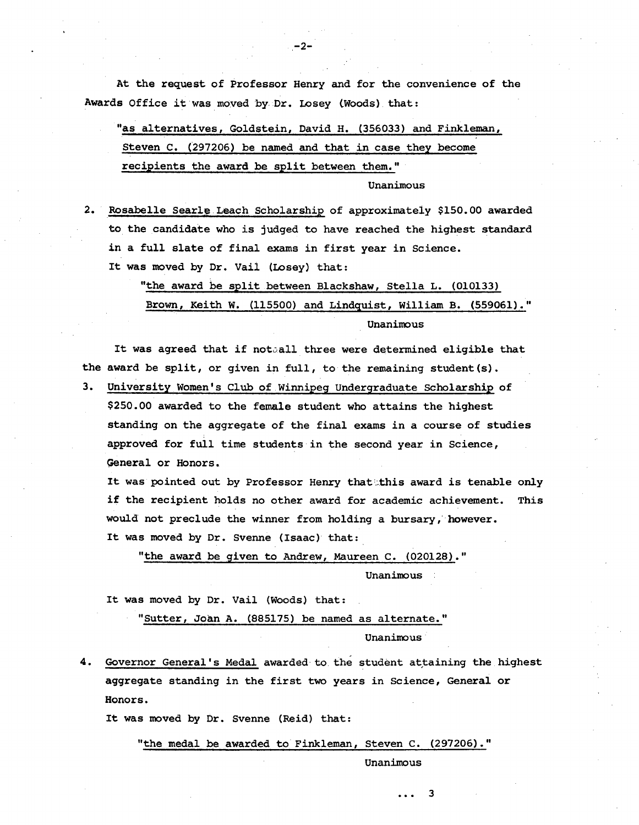At the request of Professor Henry and for the convenience of the Awards Office it was moved by-Dr. Losey Woods) that:

-2-

"as alternatives, Goldstein, David H. (356033) and Finkleman, Steven C. (297206) be named and that in case they become recipients the award be split between them."

Unanimous

2. Rosabelle Searle Leach Scholarship of approximately \$150.00 awarded to the candidate who is judged to have reached the highest standard in a full slate of final exams in first year in Science. It was moved by Dr. Vail (Losey) that:

> "the award be split between Blackshaw, Stella L. (010133) Brown, Keith W. (115500) and Lindquist, William B. (559061)." Unanimous

It was agreed that if notaall three were determined eligible that the award be split, or given in full, to the remaining student(s).

University Women's Club of.Winnipeg Undergraduate Scholarship of  $3.$ \$250.00 awarded to the female student who attains the highest *standing* on the aggregate of the final exams in a course of studies approved for full time students in the second year in Science, General or Honors.

It was pointed out by Professor Henry that this award is tenable only if the recipient holds no other award for academic achievement. This would not preclude the winner from holding a bursary, however. It was moved by Dr. Svenne (Isaac) that:

"the award be given to Andrew, Maureen C. (020128)."

Unanimous

It was moved by Dr. Vail (Woods) that:

"Sutter, Joan A. (885175) be named as alternate."

Unanimous•

Governor General 's Medal awarded to. the student attaining the highest aggregate standing in the first two years in Science, General or Honors.

It was moved by Dr. Svenne (Reid) that:

"the medal be awarded to Finkleman, Steven C. (297206)."

Unanimous

3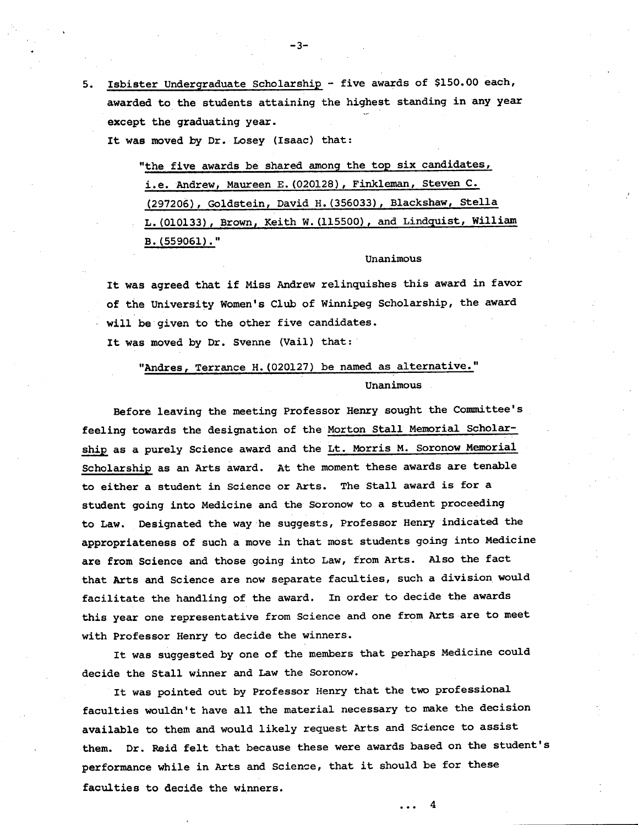5. Isbister Undergraduate Scholarship - five awards of \$150.00 each, awarded to the students attaining the highest standing in any year except the graduating year.

It was moved by Dr. Losey (Isaac) that:

"the five awards be shared among the top **six candidates,**  i.e. Andrew, Maureen E. (020128), Finkleman, Steven C. (297206), Goldstein, David H. (356033), Blackshaw, Stella L. (010133), Brown, Keith W. (115500), and Lindquist, William B. (559061)."

Unanimous

It was agreed that if Miss Andrew relinquishes this award in favor of the University Women's Club of Winnipeg Scholarship, the award will be given to the other five candidates.

It was moved by Dr. Svenne (Vail) that:

## "Andres, Terrance H. (020127) be named as alternative." Unanimous

Before leaving the meeting Professor Henry sought the Committee's feeling towards the designation of the Morton Stall Memorial Scholarship as a purely Science award and the Lt. Morris M. Soronow Memorial Scholarship as an Arts award. At the moment these awards are tenable to either a student in Science or Arts. The Stall award is for a student going into Medicine and the Soronow to a student proceeding to Law. Designated the way he suggests, Professor Henry indicated the appropriateness of such a move in that most students going into Medicine are from Science and those going into Law, from Arts. Also the fact that Arts and Science are now separate faculties, such a division would facilitate the handling of the award. In order to decide the awards this year one representative from Science and one from Arts are to meet with Professor Henry to decide the winners.

It was suggested by one of the members that perhaps Medicine could decide the Stall winner and Law the Soronow.

It was pointed out by Professor Henry that the two professional faculties wouldn't have all the material necessary to make the decision available to them and would likely request Arts and Science to assist them. Dr. Reid felt that because these were awards based on the student's performance while in Arts and Science, that it should be for these faculties to decide the winners. ... 4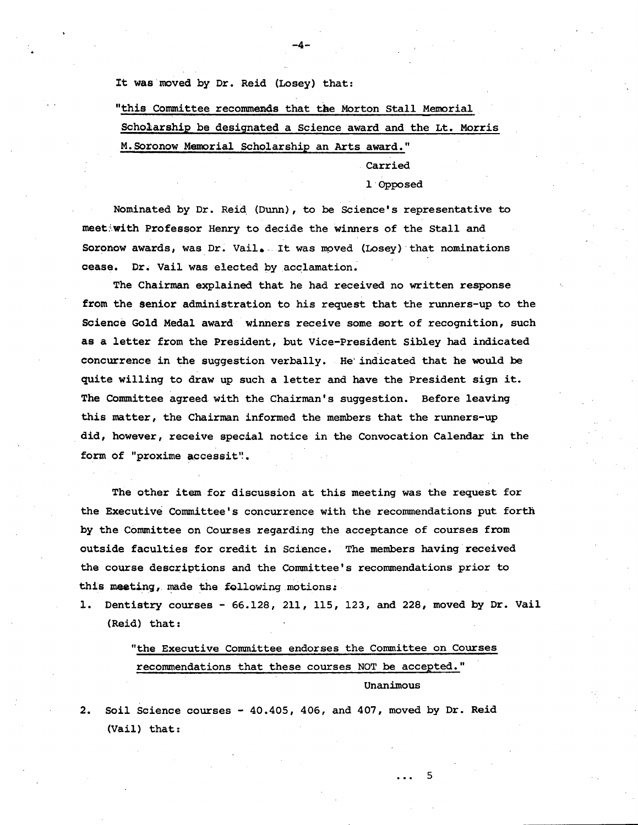It was moved by Dr. Reid (Losey) that:

"this Committee recommends that the Morton Stall Memorial Scholarship be designated a Science award and the Lt. Morris M. Soronow Memorial Scholarship an Arts award."

Carried

#### 1 Opposed

Nominated by Dr. Reid (Dunn), to be Science's representative to meet:with Professor Henry to decide the winners of the Stall and Soronow awards, was Dr. Vail. It was moved (Losey) that nominations cease. Dr. Vail was elected by acclamation.

The Chairman explained that he had received no written response from the Senior administration to his request that the runners-up to the Science Gold Medal award winners receive some sort of recognition, such as a letter from the President, but Vice-President Sibley had indicated concurrence in the suggestion verbally. He indicated that he would be quite willing to draw up such a letter and have the President sign it. The Committee agreed with the Chairman's suggestion. Before leaving this matter, the Chairman informed the members that the runners-up did, however, receive special notice in the Convocation Calendar in the form of "proxime accessit".

The other item for discussion at this meeting was the request for the Executive Committee's concurrence with the recommendations put forth by the Committee on Courses regarding the acceptance of courses from outside faculties for credit in Science. The members having received the course descriptions and the Committee's recommendations prior to this meeting, made the following motions:

1. Dentistry courses - 66.128, 211, 115, 123, and 228, moved by Dr. Vail (Reid) that:

> "the Executive Committee endorses the Committee on Courses recommendations that these courses NOT be accepted." Unanimous

> > 5

Soil Science courses - 40.405, 406, and 407, moved by Dr. Reid  $2.$ (Vail) that: